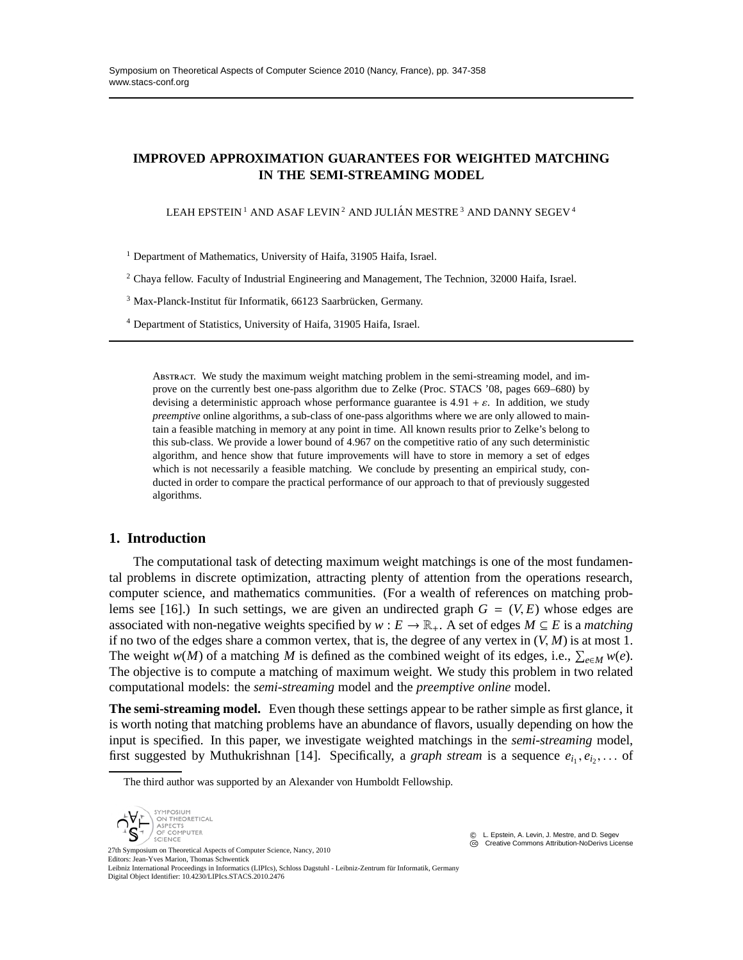# **IMPROVED APPROXIMATION GUARANTEES FOR WEIGHTED MATCHING IN THE SEMI-STREAMING MODEL**

LEAH EPSTEIN<sup>1</sup> AND ASAF LEVIN<sup>2</sup> AND JULIÁN MESTRE<sup>3</sup> AND DANNY SEGEV<sup>4</sup>

<sup>1</sup> Department of Mathematics, University of Haifa, 31905 Haifa, Israel.

 $2$  Chaya fellow. Faculty of Industrial Engineering and Management, The Technion, 32000 Haifa, Israel.

<sup>3</sup> Max-Planck-Institut für Informatik, 66123 Saarbrücken, Germany.

<sup>4</sup> Department of Statistics, University of Haifa, 31905 Haifa, Israel.

ABSTRACT. We study the maximum weight matching problem in the semi-streaming model, and improve on the currently best one-pass algorithm due to Zelke (Proc. STACS '08, pages 669–680) by devising a deterministic approach whose performance guarantee is  $4.91 + \varepsilon$ . In addition, we study *preemptive* online algorithms, a sub-class of one-pass algorithms where we are only allowed to maintain a feasible matching in memory at any point in time. All known results prior to Zelke's belong to this sub-class. We provide a lower bound of 4.967 on the competitive ratio of any such deterministic algorithm, and hence show that future improvements will have to store in memory a set of edges which is not necessarily a feasible matching. We conclude by presenting an empirical study, conducted in order to compare the practical performance of our approach to that of previously suggested algorithms.

## **1. Introduction**

The computational task of detecting maximum weight matchings is one of the most fundamental problems in discrete optimization, attracting plenty of attention from the operations research, computer science, and mathematics communities. (For a wealth of references on matching problems see [16].) In such settings, we are given an undirected graph  $G = (V, E)$  whose edges are associated with non-negative weights specified by  $w : E \to \mathbb{R}_+$ . A set of edges  $M \subseteq E$  is a *matching* if no two of the edges share a common vertex, that is, the degree of any vertex in  $(V, M)$  is at most 1. The weight *w*(*M*) of a matching *M* is defined as the combined weight of its edges, i.e.,  $\sum_{e \in M} w(e)$ . The objective is to compute a matching of maximum weight. We study this problem in two related computational models: the *semi-streaming* model and the *preemptive online* model.

**The semi-streaming model.** Even though these settings appear to be rather simple as first glance, it is worth noting that matching problems have an abundance of flavors, usually depending on how the input is specified. In this paper, we investigate weighted matchings in the *semi-streaming* model, first suggested by Muthukrishnan [14]. Specifically, a *graph stream* is a sequence  $e_{i_1}, e_{i_2}, \ldots$  of

The third author was supported by an Alexander von Humboldt Fellowship.



**CC** Creative Commons Attribution-NoDerivs License

Editors: Jean-Yves Marion, Thomas Schwentick Leibniz International Proceedings in Informatics (LIPIcs), Schloss Dagstuhl - Leibniz-Zentrum für Informatik, Germany Digital Object Identifier: 10.4230/LIPIcs.STACS.2010.2476

c L. Epstein, A. Levin, J. Mestre, and D. Segev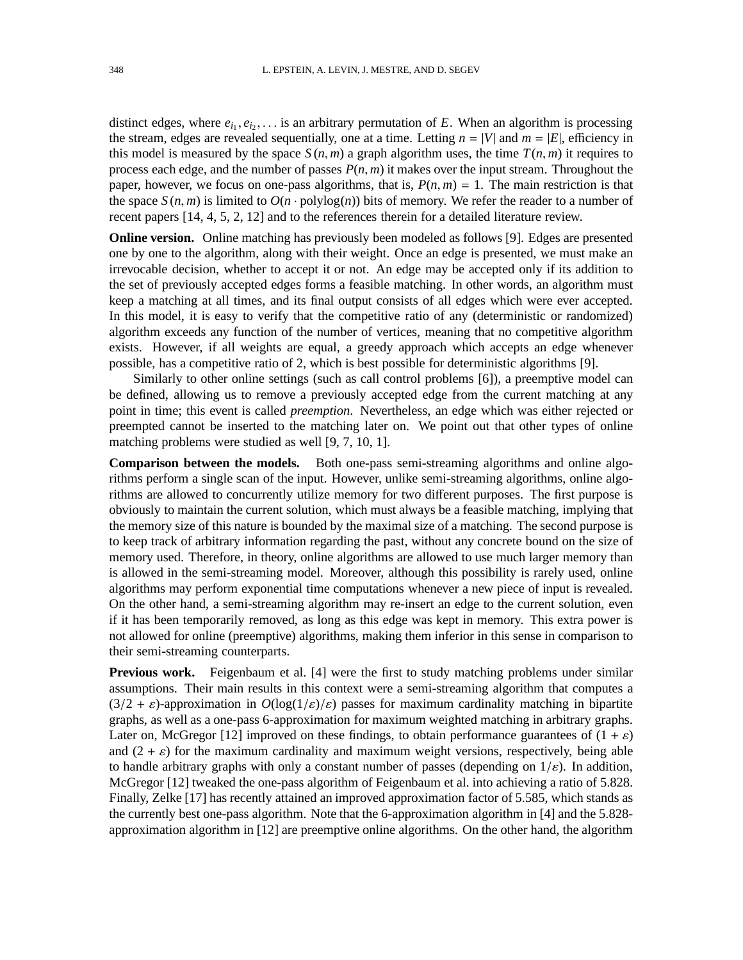distinct edges, where  $e_{i_1}, e_{i_2}, \ldots$  is an arbitrary permutation of *E*. When an algorithm is processing the stream, edges are revealed sequentially, one at a time. Letting  $n = |V|$  and  $m = |E|$ , efficiency in this model is measured by the space  $S(n, m)$  a graph algorithm uses, the time  $T(n, m)$  it requires to process each edge, and the number of passes *P*(*n*, *m*) it makes over the input stream. Throughout the paper, however, we focus on one-pass algorithms, that is,  $P(n, m) = 1$ . The main restriction is that the space  $S(n, m)$  is limited to  $O(n \cdot \text{polylog}(n))$  bits of memory. We refer the reader to a number of recent papers [14, 4, 5, 2, 12] and to the references therein for a detailed literature review.

**Online version.** Online matching has previously been modeled as follows [9]. Edges are presented one by one to the algorithm, along with their weight. Once an edge is presented, we must make an irrevocable decision, whether to accept it or not. An edge may be accepted only if its addition to the set of previously accepted edges forms a feasible matching. In other words, an algorithm must keep a matching at all times, and its final output consists of all edges which were ever accepted. In this model, it is easy to verify that the competitive ratio of any (deterministic or randomized) algorithm exceeds any function of the number of vertices, meaning that no competitive algorithm exists. However, if all weights are equal, a greedy approach which accepts an edge whenever possible, has a competitive ratio of 2, which is best possible for deterministic algorithms [9].

Similarly to other online settings (such as call control problems [6]), a preemptive model can be defined, allowing us to remove a previously accepted edge from the current matching at any point in time; this event is called *preemption*. Nevertheless, an edge which was either rejected or preempted cannot be inserted to the matching later on. We point out that other types of online matching problems were studied as well [9, 7, 10, 1].

**Comparison between the models.** Both one-pass semi-streaming algorithms and online algorithms perform a single scan of the input. However, unlike semi-streaming algorithms, online algorithms are allowed to concurrently utilize memory for two different purposes. The first purpose is obviously to maintain the current solution, which must always be a feasible matching, implying that the memory size of this nature is bounded by the maximal size of a matching. The second purpose is to keep track of arbitrary information regarding the past, without any concrete bound on the size of memory used. Therefore, in theory, online algorithms are allowed to use much larger memory than is allowed in the semi-streaming model. Moreover, although this possibility is rarely used, online algorithms may perform exponential time computations whenever a new piece of input is revealed. On the other hand, a semi-streaming algorithm may re-insert an edge to the current solution, even if it has been temporarily removed, as long as this edge was kept in memory. This extra power is not allowed for online (preemptive) algorithms, making them inferior in this sense in comparison to their semi-streaming counterparts.

Previous work. Feigenbaum et al. [4] were the first to study matching problems under similar assumptions. Their main results in this context were a semi-streaming algorithm that computes a  $(3/2 + \varepsilon)$ -approximation in  $O(\log(1/\varepsilon)/\varepsilon)$  passes for maximum cardinality matching in bipartite graphs, as well as a one-pass 6-approximation for maximum weighted matching in arbitrary graphs. Later on, McGregor [12] improved on these findings, to obtain performance guarantees of  $(1 + \varepsilon)$ and  $(2 + \varepsilon)$  for the maximum cardinality and maximum weight versions, respectively, being able to handle arbitrary graphs with only a constant number of passes (depending on  $1/\varepsilon$ ). In addition, McGregor [12] tweaked the one-pass algorithm of Feigenbaum et al. into achieving a ratio of 5.828. Finally, Zelke [17] has recently attained an improved approximation factor of 5.585, which stands as the currently best one-pass algorithm. Note that the 6-approximation algorithm in [4] and the 5.828 approximation algorithm in [12] are preemptive online algorithms. On the other hand, the algorithm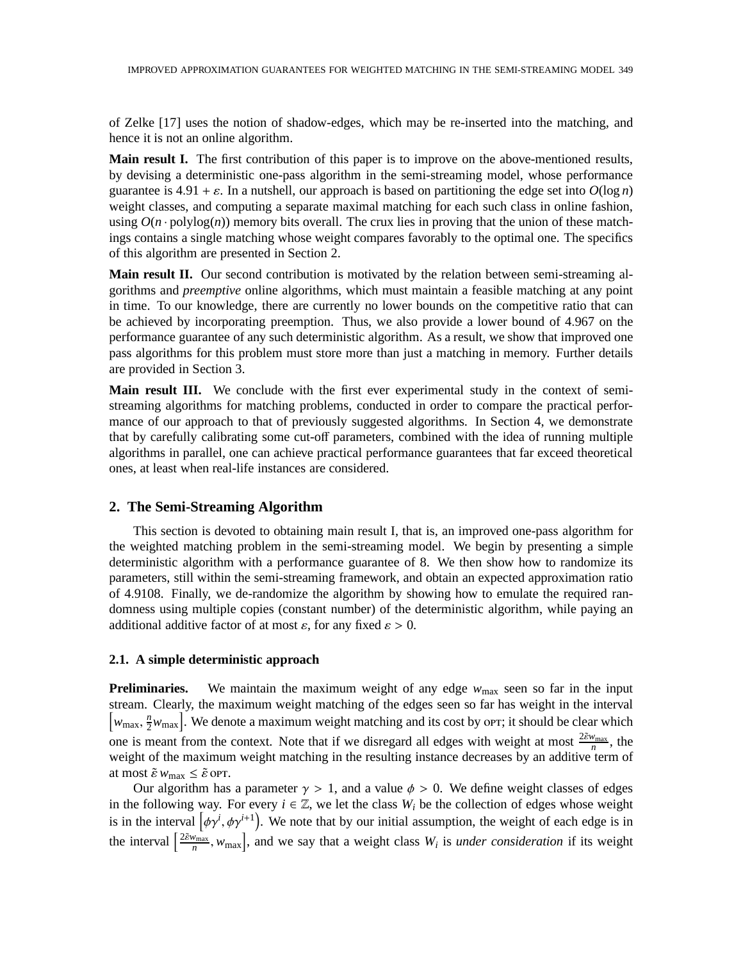of Zelke [17] uses the notion of shadow-edges, which may be re-inserted into the matching, and hence it is not an online algorithm.

**Main result I.** The first contribution of this paper is to improve on the above-mentioned results, by devising a deterministic one-pass algorithm in the semi-streaming model, whose performance guarantee is  $4.91 + \varepsilon$ . In a nutshell, our approach is based on partitioning the edge set into  $O(\log n)$ weight classes, and computing a separate maximal matching for each such class in online fashion, using  $O(n \cdot \text{polylog}(n))$  memory bits overall. The crux lies in proving that the union of these matchings contains a single matching whose weight compares favorably to the optimal one. The specifics of this algorithm are presented in Section 2.

**Main result II.** Our second contribution is motivated by the relation between semi-streaming algorithms and *preemptive* online algorithms, which must maintain a feasible matching at any point in time. To our knowledge, there are currently no lower bounds on the competitive ratio that can be achieved by incorporating preemption. Thus, we also provide a lower bound of 4.967 on the performance guarantee of any such deterministic algorithm. As a result, we show that improved one pass algorithms for this problem must store more than just a matching in memory. Further details are provided in Section 3.

**Main result III.** We conclude with the first ever experimental study in the context of semistreaming algorithms for matching problems, conducted in order to compare the practical performance of our approach to that of previously suggested algorithms. In Section 4, we demonstrate that by carefully calibrating some cut-off parameters, combined with the idea of running multiple algorithms in parallel, one can achieve practical performance guarantees that far exceed theoretical ones, at least when real-life instances are considered.

## **2. The Semi-Streaming Algorithm**

This section is devoted to obtaining main result I, that is, an improved one-pass algorithm for the weighted matching problem in the semi-streaming model. We begin by presenting a simple deterministic algorithm with a performance guarantee of 8. We then show how to randomize its parameters, still within the semi-streaming framework, and obtain an expected approximation ratio of 4.9108. Finally, we de-randomize the algorithm by showing how to emulate the required randomness using multiple copies (constant number) of the deterministic algorithm, while paying an additional additive factor of at most  $\varepsilon$ , for any fixed  $\varepsilon > 0$ .

## **2.1. A simple deterministic approach**

**Preliminaries.** We maintain the maximum weight of any edge  $w_{\text{max}}$  seen so far in the input stream. Clearly, the maximum weight matching of the edges seen so far has weight in the interval  $\left[w_{\text{max}}, \frac{n}{2}\right]$  $\frac{n}{2}w_{\text{max}}$ . We denote a maximum weight matching and its cost by orr; it should be clear which one is meant from the context. Note that if we disregard all edges with weight at most  $\frac{2\tilde{\epsilon}w_{\text{max}}}{n}$ , the weight of the maximum weight matching in the resulting instance decreases by an additive term of at most  $\tilde{\varepsilon} w_{\text{max}} \leq \tilde{\varepsilon}$  or  $\overline{\varepsilon}$ .

Our algorithm has a parameter  $\gamma > 1$ , and a value  $\phi > 0$ . We define weight classes of edges in the following way. For every  $i \in \mathbb{Z}$ , we let the class  $W_i$  be the collection of edges whose weight is in the interval  $\left[\phi\gamma^i, \phi\gamma^{i+1}\right]$ . We note that by our initial assumption, the weight of each edge is in the interval  $\left[\frac{2\tilde{\epsilon}w_{\text{max}}}{n}\right]$  $\left[v_{\text{max}}\right]$ , and we say that a weight class  $W_i$  is *under consideration* if its weight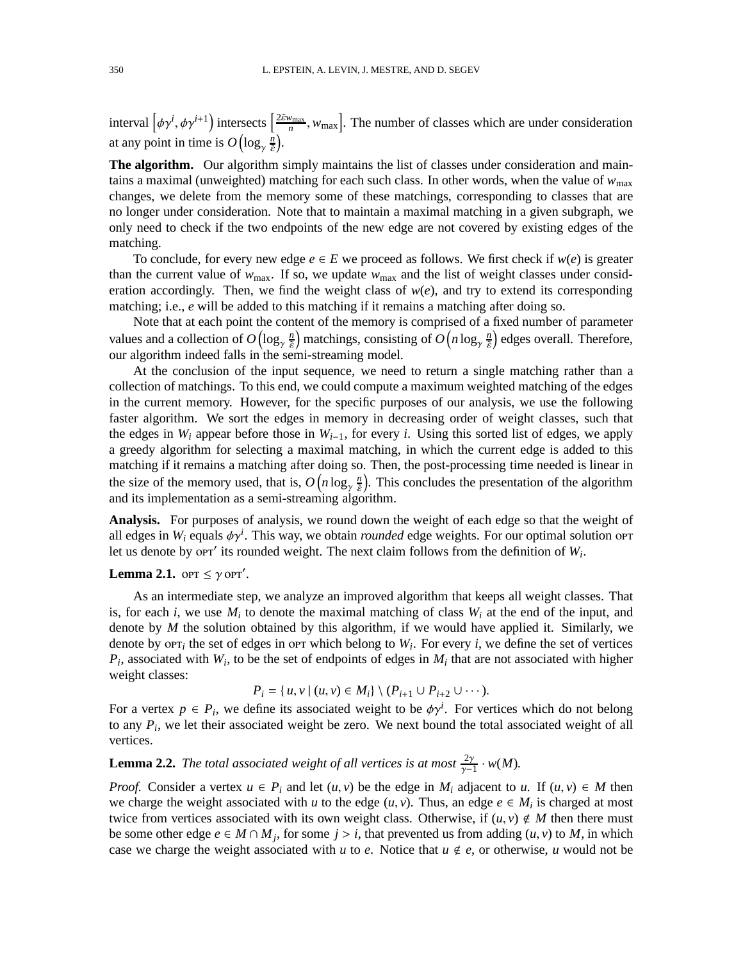interval  $\left[\phi\gamma^{i},\phi\gamma^{i+1}\right)$  intersects  $\left[\frac{2\tilde{\epsilon}w_{\text{max}}}{n}\right]$  $\left[v_{\text{max}}\right]$ . The number of classes which are under consideration at any point in time is  $O\bigl(\log_\gamma \frac{n}{\tilde\epsilon}\bigr)$  $\frac{n}{\tilde{\varepsilon}}$ ).

**The algorithm.** Our algorithm simply maintains the list of classes under consideration and maintains a maximal (unweighted) matching for each such class. In other words, when the value of  $w_{\text{max}}$ changes, we delete from the memory some of these matchings, corresponding to classes that are no longer under consideration. Note that to maintain a maximal matching in a given subgraph, we only need to check if the two endpoints of the new edge are not covered by existing edges of the matching.

To conclude, for every new edge  $e \in E$  we proceed as follows. We first check if  $w(e)$  is greater than the current value of  $w_{\text{max}}$ . If so, we update  $w_{\text{max}}$  and the list of weight classes under consideration accordingly. Then, we find the weight class of  $w(e)$ , and try to extend its corresponding matching; i.e., *e* will be added to this matching if it remains a matching after doing so.

Note that at each point the content of the memory is comprised of a fixed number of parameter values and a collection of  $O\left(\log_\gamma \frac{n}{\tilde\epsilon}\right)$  $\left(\frac{n}{\tilde{\varepsilon}}\right)$  matchings, consisting of  $O\left(n\log_\gamma\frac{n}{\tilde{\varepsilon}}\right)$  $\left(\frac{n}{\tilde{\varepsilon}}\right)$  edges overall. Therefore, our algorithm indeed falls in the semi-streaming model.

At the conclusion of the input sequence, we need to return a single matching rather than a collection of matchings. To this end, we could compute a maximum weighted matching of the edges in the current memory. However, for the specific purposes of our analysis, we use the following faster algorithm. We sort the edges in memory in decreasing order of weight classes, such that the edges in  $W_i$  appear before those in  $W_{i-1}$ , for every *i*. Using this sorted list of edges, we apply a greedy algorithm for selecting a maximal matching, in which the current edge is added to this matching if it remains a matching after doing so. Then, the post-processing time needed is linear in the size of the memory used, that is,  $O(n \log_\gamma \frac{n}{\tilde{\varepsilon}})$  $\frac{n}{\tilde{e}}$ ). This concludes the presentation of the algorithm and its implementation as a semi-streaming algorithm.

**Analysis.** For purposes of analysis, we round down the weight of each edge so that the weight of all edges in  $W_i$  equals  $\phi \gamma^i$ . This way, we obtain *rounded* edge weights. For our optimal solution opr let us denote by  $\overline{or}$  its rounded weight. The next claim follows from the definition of  $W_i$ .

# **Lemma 2.1.**  $\text{OPT} \leq \gamma \text{OPT}'$ .

As an intermediate step, we analyze an improved algorithm that keeps all weight classes. That is, for each *i*, we use  $M_i$  to denote the maximal matching of class  $W_i$  at the end of the input, and denote by *M* the solution obtained by this algorithm, if we would have applied it. Similarly, we denote by  $\text{OPT}_i$  the set of edges in ort which belong to  $W_i$ . For every *i*, we define the set of vertices  $P_i$ , associated with  $W_i$ , to be the set of endpoints of edges in  $M_i$  that are not associated with higher weight classes:

$$
P_i = \{ u, v \mid (u, v) \in M_i \} \setminus (P_{i+1} \cup P_{i+2} \cup \cdots).
$$

For a vertex  $p \in P_i$ , we define its associated weight to be  $\phi \gamma^i$ . For vertices which do not belong to any *P<sup>i</sup>* , we let their associated weight be zero. We next bound the total associated weight of all vertices.

**Lemma 2.2.** *The total associated weight of all vertices is at most*  $\frac{2\gamma}{\gamma-1} \cdot w(M)$ *.* 

*Proof.* Consider a vertex  $u \in P_i$  and let  $(u, v)$  be the edge in  $M_i$  adjacent to  $u$ . If  $(u, v) \in M$  then we charge the weight associated with *u* to the edge  $(u, v)$ . Thus, an edge  $e \in M_i$  is charged at most twice from vertices associated with its own weight class. Otherwise, if  $(u, v) \notin M$  then there must be some other edge  $e \in M \cap M_j$ , for some  $j > i$ , that prevented us from adding  $(u, v)$  to M, in which case we charge the weight associated with *u* to *e*. Notice that  $u \notin e$ , or otherwise, *u* would not be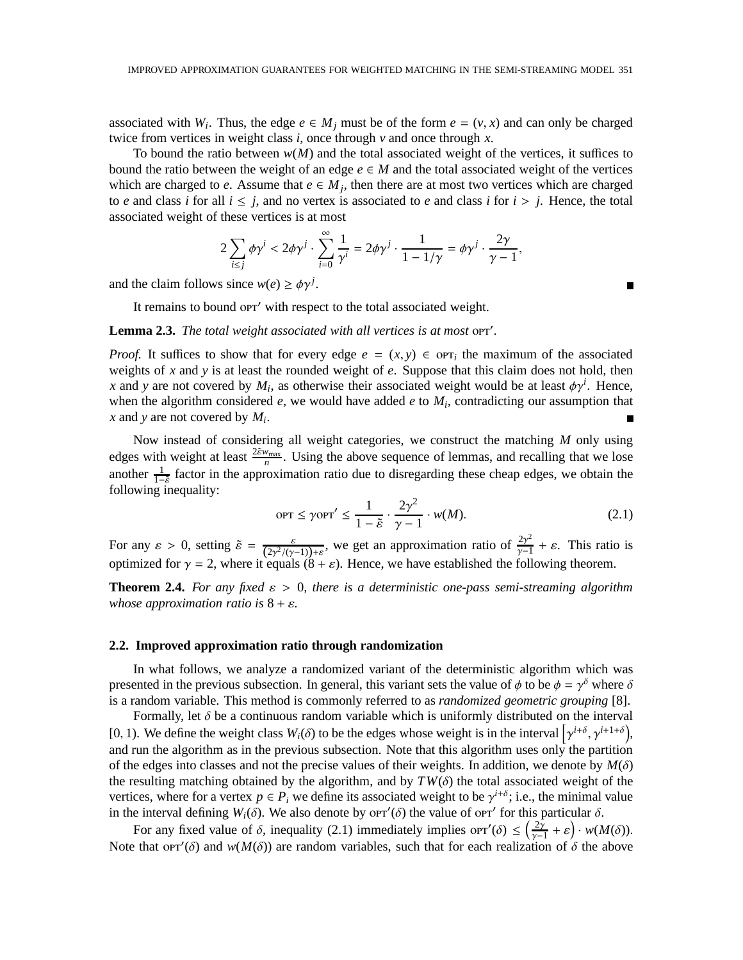associated with  $W_i$ . Thus, the edge  $e \in M_j$  must be of the form  $e = (v, x)$  and can only be charged twice from vertices in weight class *i*, once through *v* and once through *x*.

To bound the ratio between  $w(M)$  and the total associated weight of the vertices, it suffices to bound the ratio between the weight of an edge  $e \in M$  and the total associated weight of the vertices which are charged to *e*. Assume that  $e \in M_j$ , then there are at most two vertices which are charged to *e* and class *i* for all  $i \leq j$ , and no vertex is associated to *e* and class *i* for  $i > j$ . Hence, the total associated weight of these vertices is at most

$$
2\sum_{i\leq j}\phi\gamma^i<2\phi\gamma^j\cdot\sum_{i=0}^\infty\frac{1}{\gamma^i}=2\phi\gamma^j\cdot\frac{1}{1-1/\gamma}=\phi\gamma^j\cdot\frac{2\gamma}{\gamma-1},
$$

and the claim follows since  $w(e) \geq \phi \gamma^{j}$ .

It remains to bound or r' with respect to the total associated weight.

# Lemma 2.3. The total weight associated with all vertices is at most opr'.

*Proof.* It suffices to show that for every edge  $e = (x, y) \in \text{OPT}_i$  the maximum of the associated weights of *x* and *y* is at least the rounded weight of *e*. Suppose that this claim does not hold, then *x* and *y* are not covered by  $M_i$ , as otherwise their associated weight would be at least  $\phi \gamma^i$ . Hence, when the algorithm considered *e*, we would have added *e* to *M<sup>i</sup>* , contradicting our assumption that *x* and *y* are not covered by *M<sup>i</sup>* .

Now instead of considering all weight categories, we construct the matching *M* only using edges with weight at least  $\frac{2\tilde{\epsilon}w_{\text{max}}}{n}$ . Using the above sequence of lemmas, and recalling that we lose another  $\frac{1}{1-\tilde{\epsilon}}$  factor in the approximation ratio due to disregarding these cheap edges, we obtain the following inequality:

$$
\text{OPT} \le \gamma \text{OPT}' \le \frac{1}{1 - \tilde{\varepsilon}} \cdot \frac{2\gamma^2}{\gamma - 1} \cdot w(M). \tag{2.1}
$$

For any  $\varepsilon > 0$ , setting  $\tilde{\varepsilon} = \frac{\varepsilon}{(2\gamma^2/(\gamma-1)) + \varepsilon}$ , we get an approximation ratio of  $\frac{2\gamma^2}{\gamma - 1}$  $\frac{2\gamma^2}{\gamma-1} + \varepsilon$ . This ratio is optimized for  $\gamma = 2$ , where it equals  $(8 + \varepsilon)$ . Hence, we have established the following theorem.

**Theorem 2.4.** *For any fixed*  $\varepsilon > 0$ , *there is a deterministic one-pass semi-streaming algorithm whose approximation ratio is*  $8 + \varepsilon$ *.* 

#### **2.2. Improved approximation ratio through randomization**

In what follows, we analyze a randomized variant of the deterministic algorithm which was presented in the previous subsection. In general, this variant sets the value of  $\phi$  to be  $\phi = \gamma^{\delta}$  where  $\delta$ is a random variable. This method is commonly referred to as *randomized geometric grouping* [8].

Formally, let  $\delta$  be a continuous random variable which is uniformly distributed on the interval [0, 1). We define the weight class  $W_i(\delta)$  to be the edges whose weight is in the interval  $\left[\gamma^{i+\delta}, \gamma^{i+1+\delta}\right]$ , and run the algorithm as in the previous subsection. Note that this algorithm uses only the partition of the edges into classes and not the precise values of their weights. In addition, we denote by  $M(\delta)$ the resulting matching obtained by the algorithm, and by  $TW(\delta)$  the total associated weight of the vertices, where for a vertex  $p \in P_i$  we define its associated weight to be  $\gamma^{i+\delta}$ ; i.e., the minimal value in the interval defining  $W_i(\delta)$ . We also denote by orr'( $\delta$ ) the value of orr' for this particular  $\delta$ .

For any fixed value of  $\delta$ , inequality (2.1) immediately implies or  $\delta(\delta) \leq (\frac{2\gamma}{\gamma} - \delta)$  $\frac{2\gamma}{\gamma-1}+\varepsilon$  · *w*(*M*( $\delta$ )). Note that orr'( $\delta$ ) and  $w(M(\delta))$  are random variables, such that for each realization of  $\delta$  the above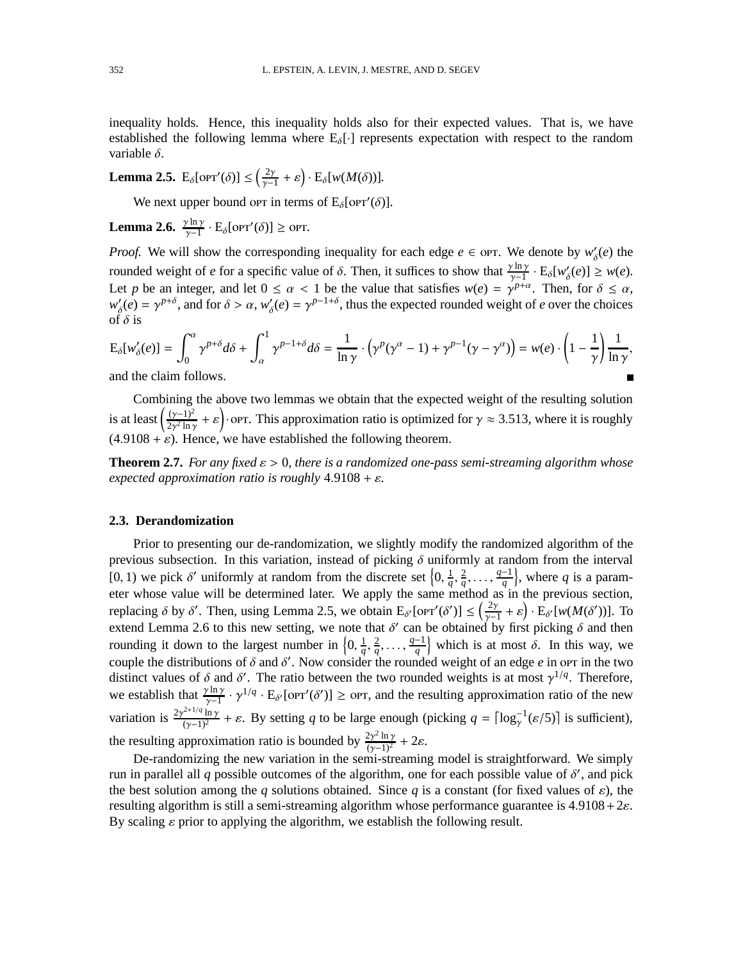inequality holds. Hence, this inequality holds also for their expected values. That is, we have established the following lemma where  $E_{\delta}[\cdot]$  represents expectation with respect to the random variable  $\delta$ .

**Lemma 2.5.**  $E_{\delta}[\text{OPT}'(\delta)] \leq (\frac{2\gamma}{\gamma - 1})$  $\frac{2\gamma}{\gamma-1}+\varepsilon$   $\cdot$  E<sub>δ</sub>[w(M(δ))].

We next upper bound or in terms of  $E_{\delta}[\text{OPT}'(\delta)]$ .

**Lemma 2.6.**  $\frac{\gamma \ln \gamma}{\gamma - 1} \cdot E_{\delta}[\text{OPT}'(\delta)] \ge \text{OPT}.$ 

*Proof.* We will show the corresponding inequality for each edge  $e \in \text{OPT}$ . We denote by  $w'_\delta(e)$  the rounded weight of *e* for a specific value of  $\delta$ . Then, it suffices to show that  $\frac{\gamma \ln \gamma}{\gamma - 1} \cdot E_{\delta}[w_{\delta}'(e)] \geq w(e)$ . Let *p* be an integer, and let  $0 \le \alpha < 1$  be the value that satisfies  $w(e) = \gamma^{p+\alpha}$ . Then, for  $\delta \le \alpha$ , *w* ′  $\gamma'_{\delta}(e) = \gamma^{p+\delta}$ , and for  $\delta > \alpha$ ,  $w'_{\delta}$  $\gamma_{\delta}(e) = \gamma^{p-1+\delta}$ , thus the expected rounded weight of *e* over the choices of  $\delta$  is

$$
E_{\delta}[w'_{\delta}(e)] = \int_0^{\alpha} \gamma^{p+\delta} d\delta + \int_a^1 \gamma^{p-1+\delta} d\delta = \frac{1}{\ln \gamma} \cdot (\gamma^p (\gamma^{\alpha} - 1) + \gamma^{p-1} (\gamma - \gamma^{\alpha})) = w(e) \cdot \left(1 - \frac{1}{\gamma}\right) \frac{1}{\ln \gamma},
$$

and the claim follows.

Combining the above two lemmas we obtain that the expected weight of the resulting solution is at least  $\left(\frac{(\gamma-1)^2}{2\gamma^2 \ln 2}\right)$  $\frac{(\gamma-1)^2}{2\gamma^2 \ln \gamma} + \varepsilon$ . This approximation ratio is optimized for  $\gamma \approx 3.513$ , where it is roughly  $(4.9108 + \varepsilon)$ . Hence, we have established the following theorem.

**Theorem 2.7.** *For any fixed*  $\varepsilon > 0$ *, there is a randomized one-pass semi-streaming algorithm whose expected approximation ratio is roughly* 4.9108 + ε*.*

## **2.3. Derandomization**

Prior to presenting our de-randomization, we slightly modify the randomized algorithm of the previous subsection. In this variation, instead of picking  $\delta$  uniformly at random from the interval [0, 1) we pick  $\delta'$  uniformly at random from the discrete set  $\{0, \frac{1}{a}\}$  $\frac{1}{q}$ ,  $\frac{2}{q}$  $\frac{2}{q}, \ldots, \frac{q-1}{q}$  $\left\{\frac{-1}{q}\right\}$ , where *q* is a parameter whose value will be determined later. We apply the same method as in the previous section, replacing  $\delta$  by  $\delta'$ . Then, using Lemma 2.5, we obtain  $E_{\delta'}[\text{OPT}'(\delta')] \leq \left(\frac{2\gamma}{\gamma-1}\right)^{1/2}$  $\frac{2\gamma}{\gamma-1}+\varepsilon\bigg)\cdot E_{\delta'}[w(M(\delta'))]$ . To extend Lemma 2.6 to this new setting, we note that  $\delta'$  can be obtained by first picking  $\delta$  and then rounding it down to the largest number in  $\{0, \frac{1}{a}\}$  $\frac{1}{q}$ ,  $\frac{2}{q}$  $\frac{2}{q}, \ldots, \frac{q-1}{q}$  $\left\{\frac{-1}{q}\right\}$  which is at most  $\delta$ . In this way, we couple the distributions of  $\delta$  and  $\delta'$ . Now consider the rounded weight of an edge *e* in orr in the two distinct values of  $\delta$  and  $\delta'$ . The ratio between the two rounded weights is at most  $\gamma^{1/q}$ . Therefore, we establish that  $\frac{\gamma \ln \gamma}{\gamma - 1} \cdot \gamma^{1/q} \cdot E_{\delta'}$  [orr'( $\delta'$ )] ≥ orr, and the resulting approximation ratio of the new variation is  $\frac{2\gamma^{2+1/q} \ln \gamma}{(\gamma-1)^2}$  $\frac{d^{2+1/q} \ln \gamma}{(\gamma - 1)^2} + \varepsilon$ . By setting *q* to be large enough (picking *q* =  $\lceil \log_{\gamma}^{-1}(\varepsilon/5) \rceil$  is sufficient), the resulting approximation ratio is bounded by  $\frac{2y^2 \ln y}{(y-1)^2}$  $\frac{2\gamma^2 \ln \gamma}{(\gamma - 1)^2} + 2\varepsilon$ .

De-randomizing the new variation in the semi-streaming model is straightforward. We simply run in parallel all  $q$  possible outcomes of the algorithm, one for each possible value of  $\delta'$ , and pick the best solution among the *q* solutions obtained. Since *q* is a constant (for fixed values of  $\varepsilon$ ), the resulting algorithm is still a semi-streaming algorithm whose performance guarantee is  $4.9108 + 2\varepsilon$ . By scaling  $\varepsilon$  prior to applying the algorithm, we establish the following result.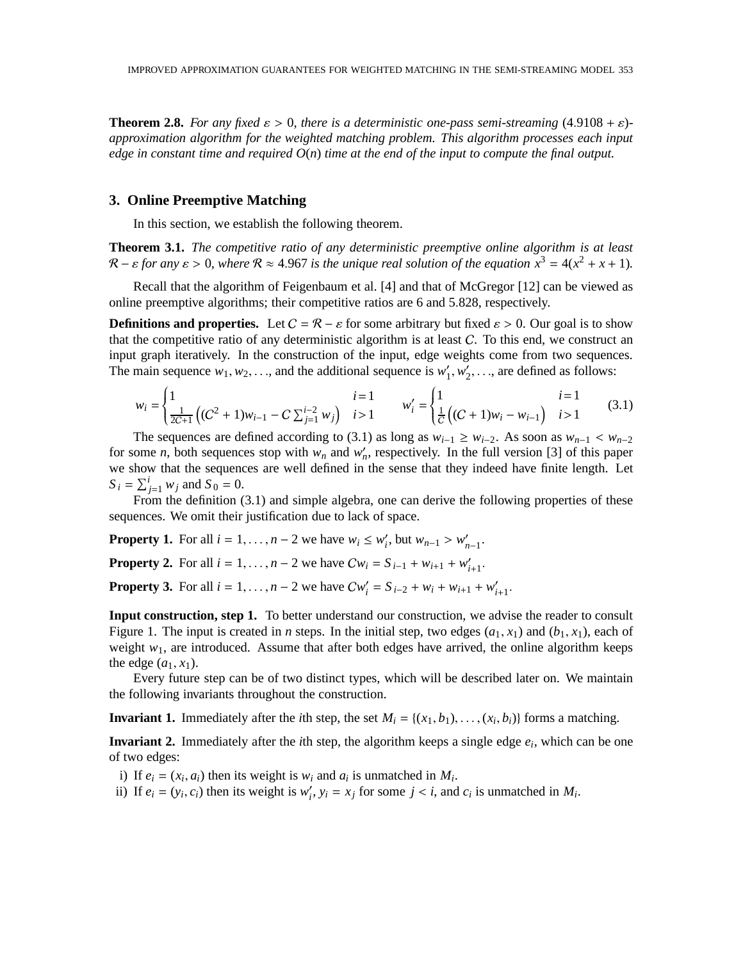**Theorem 2.8.** For any fixed  $\varepsilon > 0$ , there is a deterministic one-pass semi-streaming (4.9108 +  $\varepsilon$ )*approximation algorithm for the weighted matching problem. This algorithm processes each input edge in constant time and required O*(*n*) *time at the end of the input to compute the final output.*

## **3. Online Preemptive Matching**

In this section, we establish the following theorem.

**Theorem 3.1.** *The competitive ratio of any deterministic preemptive online algorithm is at least*  $\mathcal{R}$  –  $\varepsilon$  for any  $\varepsilon$  > 0, where  $\mathcal{R} \approx 4.967$  is the unique real solution of the equation  $x^3 = 4(x^2 + x + 1)$ .

Recall that the algorithm of Feigenbaum et al. [4] and that of McGregor [12] can be viewed as online preemptive algorithms; their competitive ratios are 6 and 5.828, respectively.

**Definitions and properties.** Let  $C = \mathcal{R} - \varepsilon$  for some arbitrary but fixed  $\varepsilon > 0$ . Our goal is to show that the competitive ratio of any deterministic algorithm is at least  $C$ . To this end, we construct an input graph iteratively. In the construction of the input, edge weights come from two sequences. The main sequence  $w_1, w_2, \ldots$ , and the additional sequence is  $w_1$ <sup>'</sup>  $'_{1}, w'_{2}$  $\zeta_2',...$ , are defined as follows:

$$
w_i = \begin{cases} 1 & i = 1 \\ \frac{1}{2C+1} \left( (C^2 + 1) w_{i-1} - C \sum_{j=1}^{i-2} w_j \right) & i > 1 \end{cases} \qquad w'_i = \begin{cases} 1 & i = 1 \\ \frac{1}{C} \left( (C+1) w_i - w_{i-1} \right) & i > 1 \end{cases}
$$
(3.1)

The sequences are defined according to (3.1) as long as  $w_{i-1} \geq w_{i-2}$ . As soon as  $w_{n-1} < w_{n-2}$ for some *n*, both sequences stop with  $w_n$  and  $w'_n$ , respectively. In the full version [3] of this paper we show that the sequences are well defined in the sense that they indeed have finite length. Let  $S_i = \sum_{j=1}^i w_j$  and  $S_0 = 0$ .

From the definition (3.1) and simple algebra, one can derive the following properties of these sequences. We omit their justification due to lack of space.

**Property 1.** For all  $i = 1, ..., n - 2$  we have  $w_i \leq w'_i$ , but  $w_{n-1} > w'_{n-1}$ .

**Property 2.** For all  $i = 1, ..., n - 2$  we have  $Cw_i = S_{i-1} + w_{i+1} + w'_{i+1}$ .

**Property 3.** For all  $i = 1, ..., n - 2$  we have  $Cw'_{i} = S_{i-2} + w_{i} + w_{i+1} + w'_{i+1}$ .

**Input construction, step 1.** To better understand our construction, we advise the reader to consult Figure 1. The input is created in *n* steps. In the initial step, two edges  $(a_1, x_1)$  and  $(b_1, x_1)$ , each of weight  $w_1$ , are introduced. Assume that after both edges have arrived, the online algorithm keeps the edge  $(a_1, x_1)$ .

Every future step can be of two distinct types, which will be described later on. We maintain the following invariants throughout the construction.

**Invariant 1.** Immediately after the *i*th step, the set  $M_i = \{(x_1, b_1), \ldots, (x_i, b_i)\}\$  forms a matching.

**Invariant 2.** Immediately after the *i*th step, the algorithm keeps a single edge *e<sup>i</sup>* , which can be one of two edges:

i) If  $e_i = (x_i, a_i)$  then its weight is  $w_i$  and  $a_i$  is unmatched in  $M_i$ .

ii) If  $e_i = (y_i, c_i)$  then its weight is  $w'_i$ ,  $y_i = x_j$  for some  $j < i$ , and  $c_i$  is unmatched in  $M_i$ .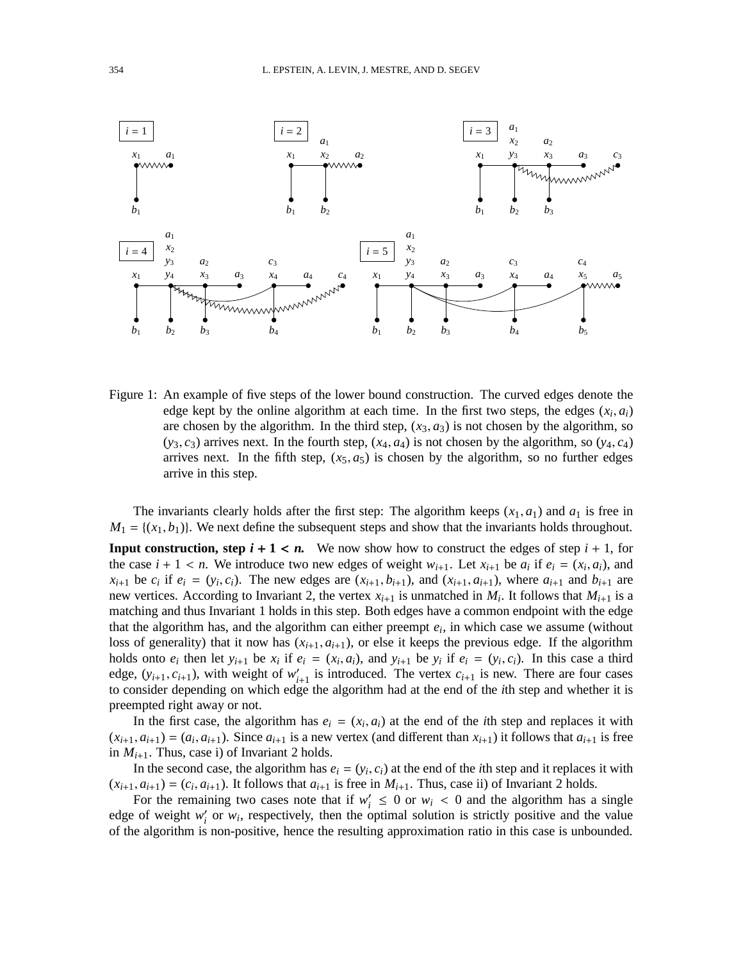

Figure 1: An example of five steps of the lower bound construction. The curved edges denote the edge kept by the online algorithm at each time. In the first two steps, the edges  $(x_i, a_i)$ are chosen by the algorithm. In the third step,  $(x_3, a_3)$  is not chosen by the algorithm, so  $(y_3, c_3)$  arrives next. In the fourth step,  $(x_4, a_4)$  is not chosen by the algorithm, so  $(y_4, c_4)$ arrives next. In the fifth step,  $(x_5, a_5)$  is chosen by the algorithm, so no further edges arrive in this step.

The invariants clearly holds after the first step: The algorithm keeps  $(x_1, a_1)$  and  $a_1$  is free in  $M_1 = \{(x_1, b_1)\}\.$  We next define the subsequent steps and show that the invariants holds throughout.

**Input construction, step**  $i + 1 < n$ **.** We now show how to construct the edges of step  $i + 1$ , for the case  $i + 1 < n$ . We introduce two new edges of weight  $w_{i+1}$ . Let  $x_{i+1}$  be  $a_i$  if  $e_i = (x_i, a_i)$ , and  $x_{i+1}$  be  $c_i$  if  $e_i = (y_i, c_i)$ . The new edges are  $(x_{i+1}, b_{i+1})$ , and  $(x_{i+1}, a_{i+1})$ , where  $a_{i+1}$  and  $b_{i+1}$  are new vertices. According to Invariant 2, the vertex  $x_{i+1}$  is unmatched in  $M_i$ . It follows that  $M_{i+1}$  is a matching and thus Invariant 1 holds in this step. Both edges have a common endpoint with the edge that the algorithm has, and the algorithm can either preempt  $e_i$ , in which case we assume (without loss of generality) that it now has  $(x_{i+1}, a_{i+1})$ , or else it keeps the previous edge. If the algorithm holds onto  $e_i$  then let  $y_{i+1}$  be  $x_i$  if  $e_i = (x_i, a_i)$ , and  $y_{i+1}$  be  $y_i$  if  $e_i = (y_i, c_i)$ . In this case a third edge,  $(y_{i+1}, c_{i+1})$ , with weight of  $w'_{i+1}$  is introduced. The vertex  $c_{i+1}$  is new. There are four cases to consider depending on which edge the algorithm had at the end of the *i*th step and whether it is preempted right away or not.

In the first case, the algorithm has  $e_i = (x_i, a_i)$  at the end of the *i*th step and replaces it with  $(x_{i+1}, a_{i+1}) = (a_i, a_{i+1})$ . Since  $a_{i+1}$  is a new vertex (and different than  $x_{i+1}$ ) it follows that  $a_{i+1}$  is free in  $M_{i+1}$ . Thus, case i) of Invariant 2 holds.

In the second case, the algorithm has  $e_i = (y_i, c_i)$  at the end of the *i*th step and it replaces it with  $(x_{i+1}, a_{i+1}) = (c_i, a_{i+1})$ . It follows that  $a_{i+1}$  is free in  $M_{i+1}$ . Thus, case ii) of Invariant 2 holds.

For the remaining two cases note that if  $w'_i \leq 0$  or  $w_i < 0$  and the algorithm has a single edge of weight  $w_i'$  or  $w_i$ , respectively, then the optimal solution is strictly positive and the value of the algorithm is non-positive, hence the resulting approximation ratio in this case is unbounded.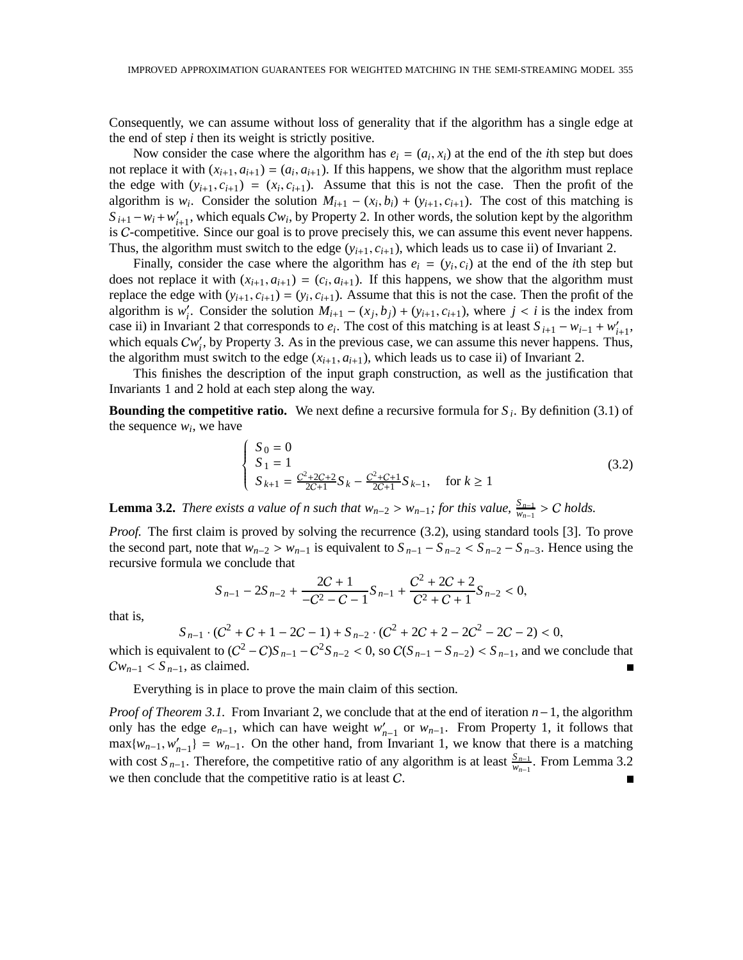Consequently, we can assume without loss of generality that if the algorithm has a single edge at the end of step *i* then its weight is strictly positive.

Now consider the case where the algorithm has  $e_i = (a_i, x_i)$  at the end of the *i*th step but does not replace it with  $(x_{i+1}, a_{i+1}) = (a_i, a_{i+1})$ . If this happens, we show that the algorithm must replace the edge with  $(y_{i+1}, c_{i+1}) = (x_i, c_{i+1})$ . Assume that this is not the case. Then the profit of the algorithm is  $w_i$ . Consider the solution  $M_{i+1} - (x_i, b_i) + (y_{i+1}, c_{i+1})$ . The cost of this matching is  $S_{i+1} - w_i + w'_{i+1}$ , which equals  $Cw_i$ , by Property 2. In other words, the solution kept by the algorithm is C-competitive. Since our goal is to prove precisely this, we can assume this event never happens. Thus, the algorithm must switch to the edge  $(y_{i+1}, c_{i+1})$ , which leads us to case ii) of Invariant 2.

Finally, consider the case where the algorithm has  $e_i = (y_i, c_i)$  at the end of the *i*th step but does not replace it with  $(x_{i+1}, a_{i+1}) = (c_i, a_{i+1})$ . If this happens, we show that the algorithm must replace the edge with  $(y_{i+1}, c_{i+1}) = (y_i, c_{i+1})$ . Assume that this is not the case. Then the profit of the algorithm is  $w'_i$ . Consider the solution  $M_{i+1} - (x_j, b_j) + (y_{i+1}, c_{i+1})$ , where  $j < i$  is the index from case ii) in Invariant 2 that corresponds to  $e_i$ . The cost of this matching is at least  $S_{i+1} - w_{i-1} + w'_{i+1}$ , which equals  $Cw_i'$ , by Property 3. As in the previous case, we can assume this never happens. Thus, the algorithm must switch to the edge  $(x_{i+1}, a_{i+1})$ , which leads us to case ii) of Invariant 2.

This finishes the description of the input graph construction, as well as the justification that Invariants 1 and 2 hold at each step along the way.

**Bounding the competitive ratio.** We next define a recursive formula for *S <sup>i</sup>* . By definition (3.1) of the sequence  $w_i$ , we have

$$
\begin{cases}\nS_0 = 0 \\
S_1 = 1 \\
S_{k+1} = \frac{C^2 + 2C + 2}{2C + 1} S_k - \frac{C^2 + C + 1}{2C + 1} S_{k-1}, \quad \text{for } k \ge 1\n\end{cases}
$$
\n(3.2)

**Lemma 3.2.** *There exists a value of n such that*  $w_{n-2} > w_{n-1}$ ; *for this value,*  $\frac{S_{n-1}}{w_{n-1}} > C$  *holds.* 

*Proof.* The first claim is proved by solving the recurrence (3.2), using standard tools [3]. To prove the second part, note that  $w_{n-2} > w_{n-1}$  is equivalent to  $S_{n-1} - S_{n-2} < S_{n-2} - S_{n-3}$ . Hence using the recursive formula we conclude that

$$
S_{n-1} - 2S_{n-2} + \frac{2C + 1}{-C^2 - C - 1}S_{n-1} + \frac{C^2 + 2C + 2}{C^2 + C + 1}S_{n-2} < 0,
$$

that is,

$$
S_{n-1} \cdot (C^2 + C + 1 - 2C - 1) + S_{n-2} \cdot (C^2 + 2C + 2 - 2C^2 - 2C - 2) < 0,
$$

which is equivalent to  $(C^2 - C)S_{n-1} - C^2S_{n-2} < 0$ , so  $C(S_{n-1} - S_{n-2}) < S_{n-1}$ , and we conclude that  $Cw_{n-1} < S_{n-1}$ , as claimed.  $\blacksquare$ 

Everything is in place to prove the main claim of this section.

*Proof of Theorem 3.1.* From Invariant 2, we conclude that at the end of iteration *n*−1, the algorithm only has the edge  $e_{n-1}$ , which can have weight  $w'_{n-1}$  or  $w_{n-1}$ . From Property 1, it follows that  $max\{w_{n-1}, w'_{n-1}\} = w_{n-1}$ . On the other hand, from Invariant 1, we know that there is a matching with cost  $S_{n-1}$ . Therefore, the competitive ratio of any algorithm is at least  $\frac{S_{n-1}}{w_{n-1}}$ . From Lemma 3.2 we then conclude that the competitive ratio is at least C.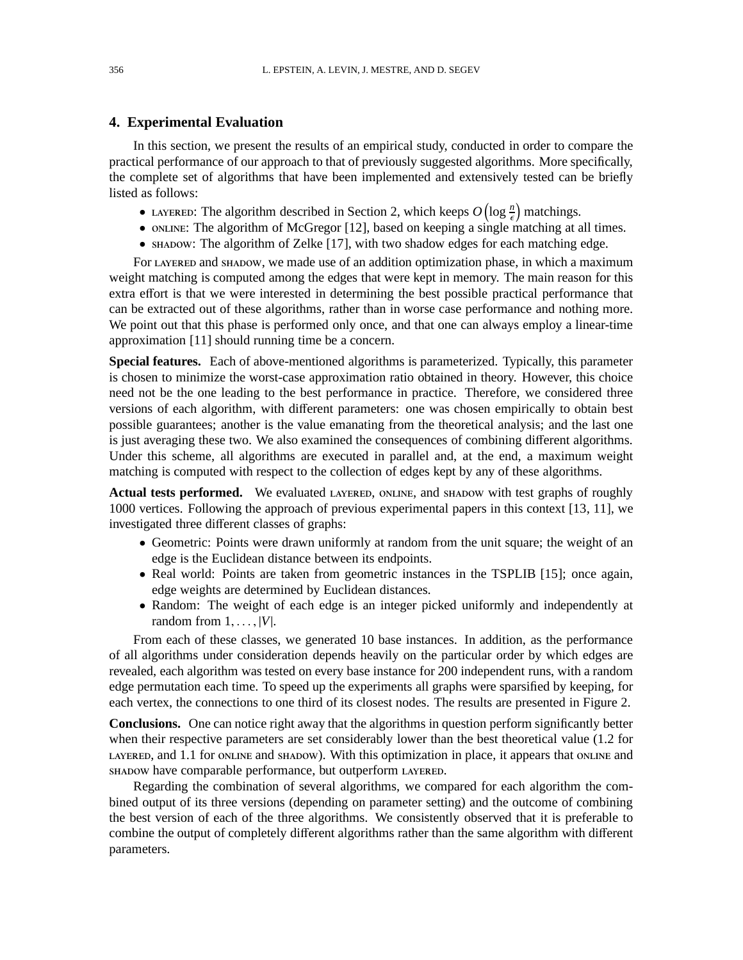### **4. Experimental Evaluation**

In this section, we present the results of an empirical study, conducted in order to compare the practical performance of our approach to that of previously suggested algorithms. More specifically, the complete set of algorithms that have been implemented and extensively tested can be briefly listed as follows:

- LAYERED: The algorithm described in Section 2, which keeps  $O\left(\log \frac{n}{\epsilon}\right)$  matchings.
- ONLINE: The algorithm of McGregor [12], based on keeping a single matching at all times.
- shabow: The algorithm of Zelke [17], with two shadow edges for each matching edge.

For LAYERED and SHADOW, we made use of an addition optimization phase, in which a maximum weight matching is computed among the edges that were kept in memory. The main reason for this extra effort is that we were interested in determining the best possible practical performance that can be extracted out of these algorithms, rather than in worse case performance and nothing more. We point out that this phase is performed only once, and that one can always employ a linear-time approximation [11] should running time be a concern.

**Special features.** Each of above-mentioned algorithms is parameterized. Typically, this parameter is chosen to minimize the worst-case approximation ratio obtained in theory. However, this choice need not be the one leading to the best performance in practice. Therefore, we considered three versions of each algorithm, with different parameters: one was chosen empirically to obtain best possible guarantees; another is the value emanating from the theoretical analysis; and the last one is just averaging these two. We also examined the consequences of combining different algorithms. Under this scheme, all algorithms are executed in parallel and, at the end, a maximum weight matching is computed with respect to the collection of edges kept by any of these algorithms.

**Actual tests performed.** We evaluated LAYERED, ONLINE, and SHADOW with test graphs of roughly 1000 vertices. Following the approach of previous experimental papers in this context [13, 11], we investigated three different classes of graphs:

- Geometric: Points were drawn uniformly at random from the unit square; the weight of an edge is the Euclidean distance between its endpoints.
- Real world: Points are taken from geometric instances in the TSPLIB [15]; once again, edge weights are determined by Euclidean distances.
- Random: The weight of each edge is an integer picked uniformly and independently at random from  $1, \ldots, |V|$ .

From each of these classes, we generated 10 base instances. In addition, as the performance of all algorithms under consideration depends heavily on the particular order by which edges are revealed, each algorithm was tested on every base instance for 200 independent runs, with a random edge permutation each time. To speed up the experiments all graphs were sparsified by keeping, for each vertex, the connections to one third of its closest nodes. The results are presented in Figure 2.

**Conclusions.** One can notice right away that the algorithms in question perform significantly better when their respective parameters are set considerably lower than the best theoretical value (1.2 for  $L$ AYERED, and 1.1 for ONLINE and  $\text{SHADOW}$ ). With this optimization in place, it appears that online and shapow have comparable performance, but outperform LAYERED.

Regarding the combination of several algorithms, we compared for each algorithm the combined output of its three versions (depending on parameter setting) and the outcome of combining the best version of each of the three algorithms. We consistently observed that it is preferable to combine the output of completely different algorithms rather than the same algorithm with different parameters.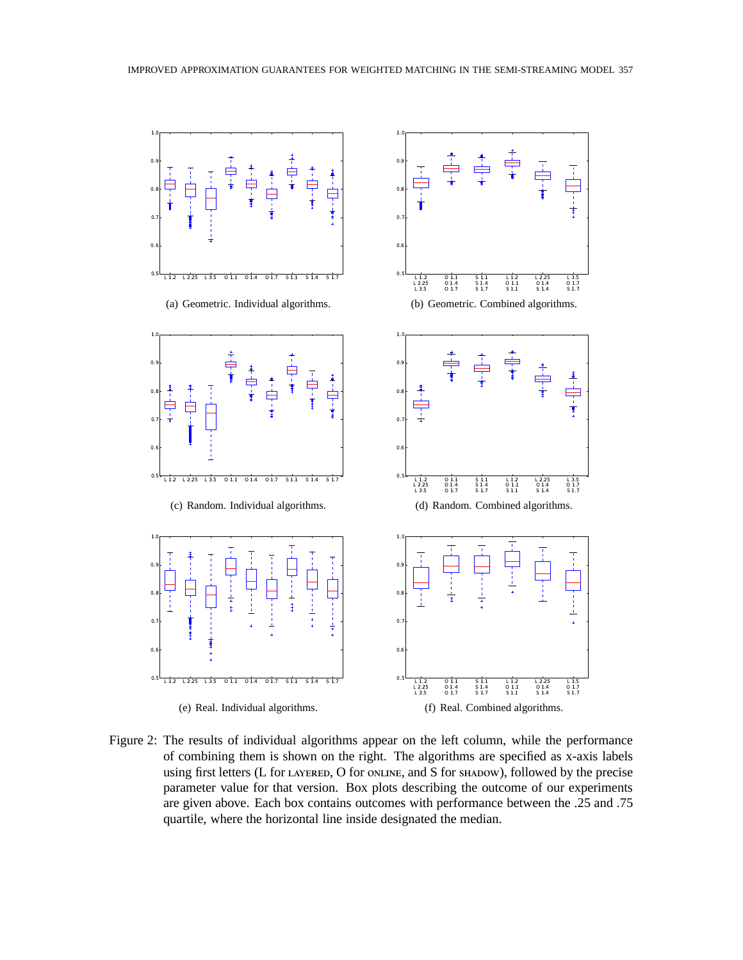

Figure 2: The results of individual algorithms appear on the left column, while the performance of combining them is shown on the right. The algorithms are specified as x-axis labels using first letters (L for LAYERED, O for ONLINE, and S for SHADOW), followed by the precise parameter value for that version. Box plots describing the outcome of our experiments are given above. Each box contains outcomes with performance between the .25 and .75 quartile, where the horizontal line inside designated the median.